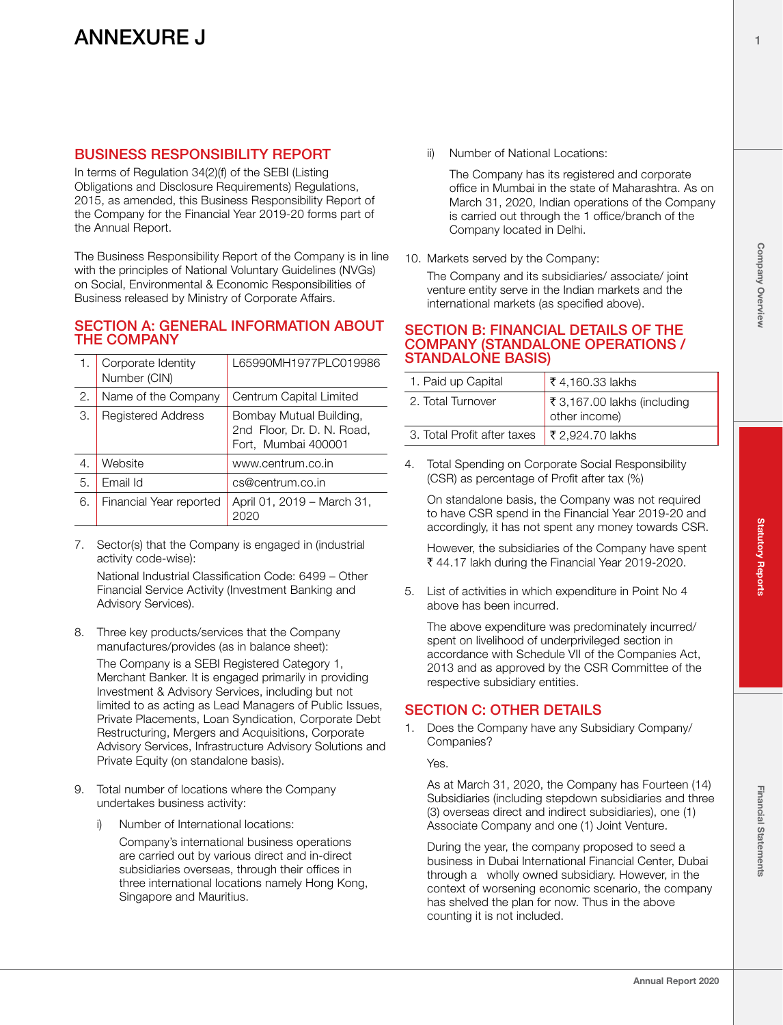## BUSINESS RESPONSIBILITY REPORT

In terms of Regulation 34(2)(f) of the SEBI (Listing Obligations and Disclosure Requirements) Regulations, 2015, as amended, this Business Responsibility Report of the Company for the Financial Year 2019-20 forms part of the Annual Report.

The Business Responsibility Report of the Company is in line with the principles of National Voluntary Guidelines (NVGs) on Social, Environmental & Economic Responsibilities of Business released by Ministry of Corporate Affairs.

#### SECTION A: GENERAL INFORMATION ABOUT THE COMPANY

|    | Corporate Identity<br>Number (CIN) | L65990MH1977PLC019986                                                        |
|----|------------------------------------|------------------------------------------------------------------------------|
| 2. | Name of the Company                | Centrum Capital Limited                                                      |
| З. | <b>Registered Address</b>          | Bombay Mutual Building,<br>2nd Floor, Dr. D. N. Road,<br>Fort, Mumbai 400001 |
| 4. | Website                            | www.centrum.co.in                                                            |
| 5. | Email Id                           | cs@centrum.co.in                                                             |
| 6. | Financial Year reported            | April 01, 2019 – March 31,                                                   |

7. Sector(s) that the Company is engaged in (industrial activity code-wise):

National Industrial Classification Code: 6499 – Other Financial Service Activity (Investment Banking and Advisory Services).

8. Three key products/services that the Company manufactures/provides (as in balance sheet):

The Company is a SEBI Registered Category 1, Merchant Banker. It is engaged primarily in providing Investment & Advisory Services, including but not limited to as acting as Lead Managers of Public Issues, Private Placements, Loan Syndication, Corporate Debt Restructuring, Mergers and Acquisitions, Corporate Advisory Services, Infrastructure Advisory Solutions and Private Equity (on standalone basis).

- 9. Total number of locations where the Company undertakes business activity:
	- i) Number of International locations:

Company's international business operations are carried out by various direct and in-direct subsidiaries overseas, through their offices in three international locations namely Hong Kong, Singapore and Mauritius.

ii) Number of National Locations:

The Company has its registered and corporate office in Mumbai in the state of Maharashtra. As on March 31, 2020, Indian operations of the Company is carried out through the 1 office/branch of the Company located in Delhi.

10. Markets served by the Company:

The Company and its subsidiaries/ associate/ joint venture entity serve in the Indian markets and the international markets (as specified above).

#### SECTION B: FINANCIAL DETAILS OF THE COMPANY (STANDALONE OPERATIONS / STANDALONE BASIS)

| 1. Paid up Capital                                         | ₹ 4,160.33 lakhs                                      |  |  |  |  |
|------------------------------------------------------------|-------------------------------------------------------|--|--|--|--|
| 2. Total Turnover                                          | $\vert$ ₹ 3,167.00 lakhs (including<br>dother income) |  |  |  |  |
| 3. Total Profit after taxes $\frac{1}{2}$ ₹ 2,924.70 lakhs |                                                       |  |  |  |  |

4. Total Spending on Corporate Social Responsibility (CSR) as percentage of Profit after tax (%)

On standalone basis, the Company was not required to have CSR spend in the Financial Year 2019-20 and accordingly, it has not spent any money towards CSR.

However, the subsidiaries of the Company have spent  $\bar{\tau}$  44.17 lakh during the Financial Year 2019-2020.

5. List of activities in which expenditure in Point No 4 above has been incurred.

The above expenditure was predominately incurred/ spent on livelihood of underprivileged section in accordance with Schedule VII of the Companies Act, 2013 and as approved by the CSR Committee of the respective subsidiary entities.

## SECTION C: OTHER DETAILS

1. Does the Company have any Subsidiary Company/ Companies?

Yes.

As at March 31, 2020, the Company has Fourteen (14) Subsidiaries (including stepdown subsidiaries and three (3) overseas direct and indirect subsidiaries), one (1) Associate Company and one (1) Joint Venture.

During the year, the company proposed to seed a business in Dubai International Financial Center, Dubai through a wholly owned subsidiary. However, in the context of worsening economic scenario, the company has shelved the plan for now. Thus in the above counting it is not included.

1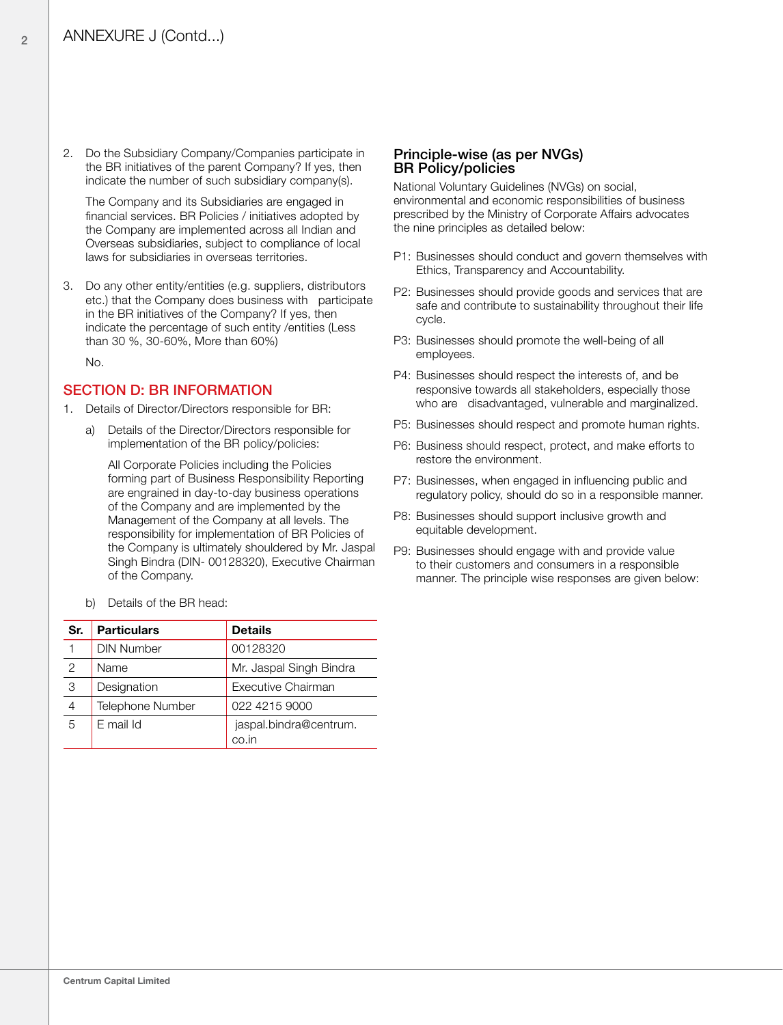2. Do the Subsidiary Company/Companies participate in the BR initiatives of the parent Company? If yes, then indicate the number of such subsidiary company(s).

The Company and its Subsidiaries are engaged in financial services. BR Policies / initiatives adopted by the Company are implemented across all Indian and Overseas subsidiaries, subject to compliance of local laws for subsidiaries in overseas territories.

3. Do any other entity/entities (e.g. suppliers, distributors etc.) that the Company does business with participate in the BR initiatives of the Company? If yes, then indicate the percentage of such entity /entities (Less than 30 %, 30-60%, More than 60%)

No.

#### SECTION D: BR INFORMATION

- 1. Details of Director/Directors responsible for BR:
	- a) Details of the Director/Directors responsible for implementation of the BR policy/policies:

All Corporate Policies including the Policies forming part of Business Responsibility Reporting are engrained in day-to-day business operations of the Company and are implemented by the Management of the Company at all levels. The responsibility for implementation of BR Policies of the Company is ultimately shouldered by Mr. Jaspal Singh Bindra (DIN- 00128320), Executive Chairman of the Company.

b) Details of the BR head:

| Sr.           | <b>Particulars</b> | <b>Details</b>                  |
|---------------|--------------------|---------------------------------|
|               | <b>DIN Number</b>  | 00128320                        |
| $\mathcal{P}$ | Name               | Mr. Jaspal Singh Bindra         |
| 3             | Designation        | Executive Chairman              |
| 4             | Telephone Number   | 022 4215 9000                   |
| 5             | E mail Id          | jaspal.bindra@centrum.<br>co.in |

#### Principle-wise (as per NVGs) BR Policy/policies

National Voluntary Guidelines (NVGs) on social, environmental and economic responsibilities of business prescribed by the Ministry of Corporate Affairs advocates the nine principles as detailed below:

- P1: Businesses should conduct and govern themselves with Ethics, Transparency and Accountability.
- P2: Businesses should provide goods and services that are safe and contribute to sustainability throughout their life cycle.
- P3: Businesses should promote the well-being of all employees.
- P4: Businesses should respect the interests of, and be responsive towards all stakeholders, especially those who are disadvantaged, vulnerable and marginalized.
- P5: Businesses should respect and promote human rights.
- P6: Business should respect, protect, and make efforts to restore the environment.
- P7: Businesses, when engaged in influencing public and regulatory policy, should do so in a responsible manner.
- P8: Businesses should support inclusive growth and equitable development.
- P9: Businesses should engage with and provide value to their customers and consumers in a responsible manner. The principle wise responses are given below:

 $\overline{2}$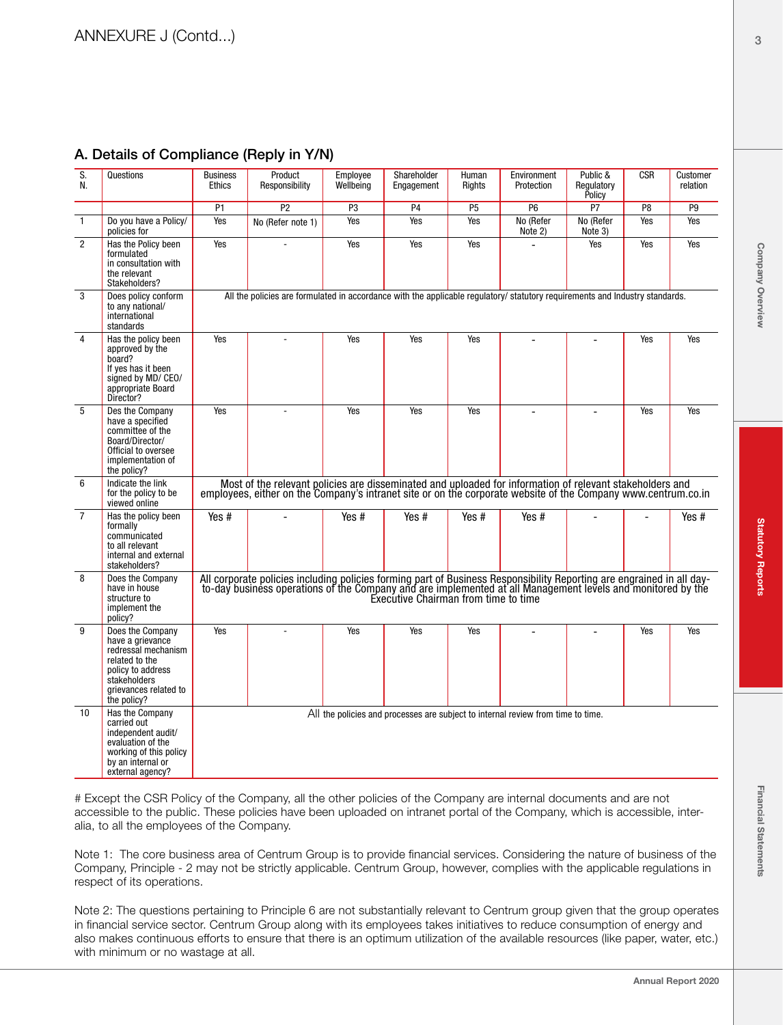| S.<br>N.       | Questions                                                                                                                                                  | <b>Business</b><br><b>Ethics</b>                                                                                                                                                                                                                                         | Product<br>Responsibility | Employee<br>Wellbeing | Shareholder<br>Engagement | Human<br>Rights | Environment<br>Protection                                                        | Public &<br>Regulatory<br>Policy | <b>CSR</b>     | Customer<br>relation |
|----------------|------------------------------------------------------------------------------------------------------------------------------------------------------------|--------------------------------------------------------------------------------------------------------------------------------------------------------------------------------------------------------------------------------------------------------------------------|---------------------------|-----------------------|---------------------------|-----------------|----------------------------------------------------------------------------------|----------------------------------|----------------|----------------------|
|                |                                                                                                                                                            | P <sub>1</sub>                                                                                                                                                                                                                                                           | P <sub>2</sub>            | P <sub>3</sub>        | P <sub>4</sub>            | P <sub>5</sub>  | P <sub>6</sub>                                                                   | P7                               | P <sub>8</sub> | P <sub>9</sub>       |
| $\mathbf{1}$   | Do you have a Policy/<br>policies for                                                                                                                      | Yes                                                                                                                                                                                                                                                                      | No (Refer note 1)         | Yes                   | Yes                       | Yes             | No (Refer<br>Note 2)                                                             | No (Refer<br>Note 3)             | Yes            | Yes                  |
| $\overline{2}$ | Has the Policy been<br>formulated<br>in consultation with<br>the relevant<br>Stakeholders?                                                                 | Yes                                                                                                                                                                                                                                                                      |                           | Yes                   | Yes                       | Yes             |                                                                                  | Yes                              | Yes            | Yes                  |
| 3              | Does policy conform<br>to any national/<br>international<br>standards                                                                                      | All the policies are formulated in accordance with the applicable regulatory/ statutory reguirements and Industry standards.                                                                                                                                             |                           |                       |                           |                 |                                                                                  |                                  |                |                      |
| $\overline{4}$ | Has the policy been<br>approved by the<br>board?<br>If yes has it been<br>signed by MD/ CEO/<br>appropriate Board<br>Director?                             | Yes                                                                                                                                                                                                                                                                      |                           | Yes                   | Yes                       | Yes             |                                                                                  |                                  | Yes            | Yes                  |
| 5              | Des the Company<br>have a specified<br>committee of the<br>Board/Director/<br>Official to oversee<br>implementation of<br>the policy?                      | Yes                                                                                                                                                                                                                                                                      | L.                        | Yes                   | Yes                       | Yes             | $\overline{\phantom{a}}$                                                         |                                  | Yes            | Yes                  |
| 6              | Indicate the link<br>for the policy to be<br>viewed online                                                                                                 | Most of the relevant policies are disseminated and uploaded for information of relevant stakeholders and<br>employees, either on the Company's intranet site or on the corporate website of the Company www.centrum.co.in                                                |                           |                       |                           |                 |                                                                                  |                                  |                |                      |
| $\overline{7}$ | Has the policy been<br>formally<br>communicated<br>to all relevant<br>internal and external<br>stakeholders?                                               | Yes #                                                                                                                                                                                                                                                                    |                           | Yes #                 | Yes #                     | Yes #           | Yes #                                                                            |                                  |                | Yes #                |
| 8              | Does the Company<br>have in house<br>structure to<br>implement the<br>policy?                                                                              | All corporate policies including policies forming part of Business Responsibility Reporting are engrained in all day-<br>to-day business operations of the Company and are implemented at all Management levels and monitored by<br>Executive Chairman from time to time |                           |                       |                           |                 |                                                                                  |                                  |                |                      |
| 9              | Does the Company<br>have a grievance<br>redressal mechanism<br>related to the<br>policy to address<br>stakeholders<br>grievances related to<br>the policy? | Yes                                                                                                                                                                                                                                                                      |                           | Yes                   | Yes                       | Yes             |                                                                                  |                                  | Yes            | Yes                  |
| 10             | Has the Company<br>carried out<br>independent audit/<br>evaluation of the<br>working of this policy<br>by an internal or<br>external agency?               |                                                                                                                                                                                                                                                                          |                           |                       |                           |                 | All the policies and processes are subject to internal review from time to time. |                                  |                |                      |

## A. Details of Compliance (Reply in Y/N)

# Except the CSR Policy of the Company, all the other policies of the Company are internal documents and are not accessible to the public. These policies have been uploaded on intranet portal of the Company, which is accessible, interalia, to all the employees of the Company.

Note 1: The core business area of Centrum Group is to provide financial services. Considering the nature of business of the Company, Principle - 2 may not be strictly applicable. Centrum Group, however, complies with the applicable regulations in respect of its operations.

Note 2: The questions pertaining to Principle 6 are not substantially relevant to Centrum group given that the group operates in financial service sector. Centrum Group along with its employees takes initiatives to reduce consumption of energy and also makes continuous efforts to ensure that there is an optimum utilization of the available resources (like paper, water, etc.) with minimum or no wastage at all.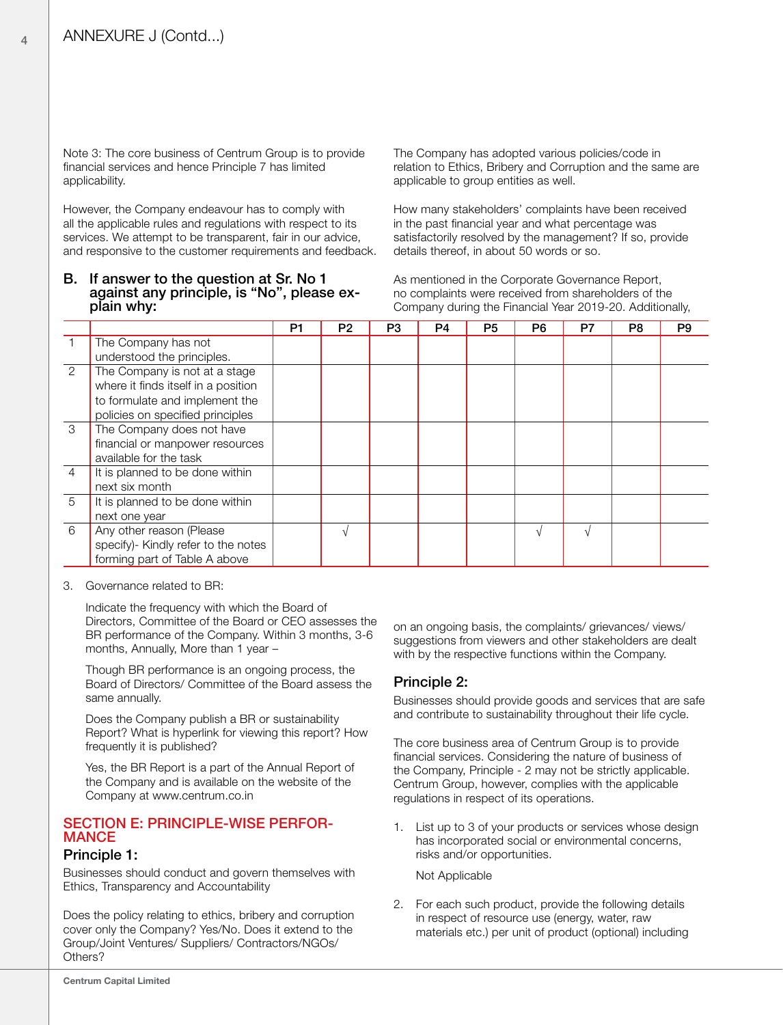Note 3: The core business of Centrum Group is to provide financial services and hence Principle 7 has limited applicability.

However, the Company endeavour has to comply with all the applicable rules and regulations with respect to its services. We attempt to be transparent, fair in our advice, and responsive to the customer requirements and feedback.

# B. If answer to the question at Sr. No 1 against any principle, is "No", please ex- plain why:

The Company has adopted various policies/code in relation to Ethics, Bribery and Corruption and the same are applicable to group entities as well.

How many stakeholders' complaints have been received in the past financial year and what percentage was satisfactorily resolved by the management? If so, provide details thereof, in about 50 words or so.

As mentioned in the Corporate Governance Report, no complaints were received from shareholders of the Company during the Financial Year 2019-20. Additionally,

|                |                                     | P1 | P <sub>2</sub> | P3 | P4 | P <sub>5</sub> | P6 | P7         | P8 | P <sub>9</sub> |
|----------------|-------------------------------------|----|----------------|----|----|----------------|----|------------|----|----------------|
|                | The Company has not                 |    |                |    |    |                |    |            |    |                |
|                | understood the principles.          |    |                |    |    |                |    |            |    |                |
| 2              | The Company is not at a stage       |    |                |    |    |                |    |            |    |                |
|                | where it finds itself in a position |    |                |    |    |                |    |            |    |                |
|                | to formulate and implement the      |    |                |    |    |                |    |            |    |                |
|                | policies on specified principles    |    |                |    |    |                |    |            |    |                |
| 3              | The Company does not have           |    |                |    |    |                |    |            |    |                |
|                | financial or manpower resources     |    |                |    |    |                |    |            |    |                |
|                | available for the task              |    |                |    |    |                |    |            |    |                |
| $\overline{4}$ | It is planned to be done within     |    |                |    |    |                |    |            |    |                |
|                | next six month                      |    |                |    |    |                |    |            |    |                |
| 5              | It is planned to be done within     |    |                |    |    |                |    |            |    |                |
|                | next one year                       |    |                |    |    |                |    |            |    |                |
| 6              | Any other reason (Please            |    | $\sqrt{ }$     |    |    |                |    | $\sqrt{ }$ |    |                |
|                | specify)- Kindly refer to the notes |    |                |    |    |                |    |            |    |                |
|                | forming part of Table A above       |    |                |    |    |                |    |            |    |                |

#### 3. Governance related to BR:

Indicate the frequency with which the Board of Directors, Committee of the Board or CEO assesses the BR performance of the Company. Within 3 months, 3-6 months, Annually, More than 1 year –

Though BR performance is an ongoing process, the Board of Directors/ Committee of the Board assess the same annually.

Does the Company publish a BR or sustainability Report? What is hyperlink for viewing this report? How frequently it is published?

Yes, the BR Report is a part of the Annual Report of the Company and is available on the website of the Company at www.centrum.co.in

# SECTION E: PRINCIPLE-WISE PERFOR- MANCE

#### Principle 1:

Businesses should conduct and govern themselves with Ethics, Transparency and Accountability

Does the policy relating to ethics, bribery and corruption cover only the Company? Yes/No. Does it extend to the Group/Joint Ventures/ Suppliers/ Contractors/NGOs/ Others?

on an ongoing basis, the complaints/ grievances/ views/ suggestions from viewers and other stakeholders are dealt with by the respective functions within the Company.

#### Principle 2:

Businesses should provide goods and services that are safe and contribute to sustainability throughout their life cycle.

The core business area of Centrum Group is to provide financial services. Considering the nature of business of the Company, Principle - 2 may not be strictly applicable. Centrum Group, however, complies with the applicable regulations in respect of its operations.

1. List up to 3 of your products or services whose design has incorporated social or environmental concerns, risks and/or opportunities.

Not Applicable

2. For each such product, provide the following details in respect of resource use (energy, water, raw materials etc.) per unit of product (optional) including

 $\Delta$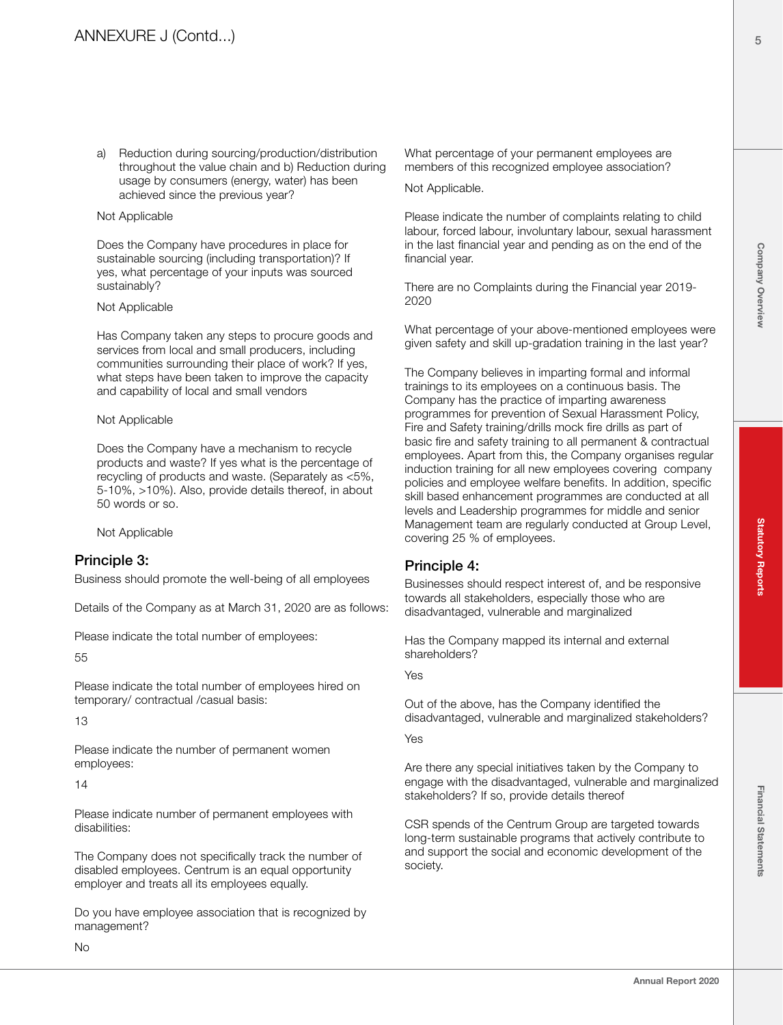a) Reduction during sourcing/production/distribution throughout the value chain and b) Reduction during usage by consumers (energy, water) has been achieved since the previous year?

#### Not Applicable

Does the Company have procedures in place for sustainable sourcing (including transportation)? If yes, what percentage of your inputs was sourced sustainably?

#### Not Applicable

Has Company taken any steps to procure goods and services from local and small producers, including communities surrounding their place of work? If yes, what steps have been taken to improve the capacity and capability of local and small vendors

#### Not Applicable

Does the Company have a mechanism to recycle products and waste? If yes what is the percentage of recycling of products and waste. (Separately as <5%, 5-10%, >10%). Also, provide details thereof, in about 50 words or so.

Not Applicable

## Principle 3:

Business should promote the well-being of all employees

Details of the Company as at March 31, 2020 are as follows:

Please indicate the total number of employees:

55

Please indicate the total number of employees hired on temporary/ contractual /casual basis:

13

Please indicate the number of permanent women employees:

14

Please indicate number of permanent employees with disabilities:

The Company does not specifically track the number of disabled employees. Centrum is an equal opportunity employer and treats all its employees equally.

Do you have employee association that is recognized by management?

Not Applicable.

Please indicate the number of complaints relating to child labour, forced labour, involuntary labour, sexual harassment in the last financial year and pending as on the end of the financial year.

There are no Complaints during the Financial year 2019- 2020

What percentage of your above-mentioned employees were given safety and skill up-gradation training in the last year?

The Company believes in imparting formal and informal trainings to its employees on a continuous basis. The Company has the practice of imparting awareness programmes for prevention of Sexual Harassment Policy, Fire and Safety training/drills mock fire drills as part of basic fire and safety training to all permanent & contractual employees. Apart from this, the Company organises regular induction training for all new employees covering company policies and employee welfare benefits. In addition, specific skill based enhancement programmes are conducted at all levels and Leadership programmes for middle and senior Management team are regularly conducted at Group Level, covering 25 % of employees.

## Principle 4:

Businesses should respect interest of, and be responsive towards all stakeholders, especially those who are disadvantaged, vulnerable and marginalized

Has the Company mapped its internal and external shareholders?

Yes

Out of the above, has the Company identified the disadvantaged, vulnerable and marginalized stakeholders?

Yes

Are there any special initiatives taken by the Company to engage with the disadvantaged, vulnerable and marginalized stakeholders? If so, provide details thereof

CSR spends of the Centrum Group are targeted towards long-term sustainable programs that actively contribute to and support the social and economic development of the society.

5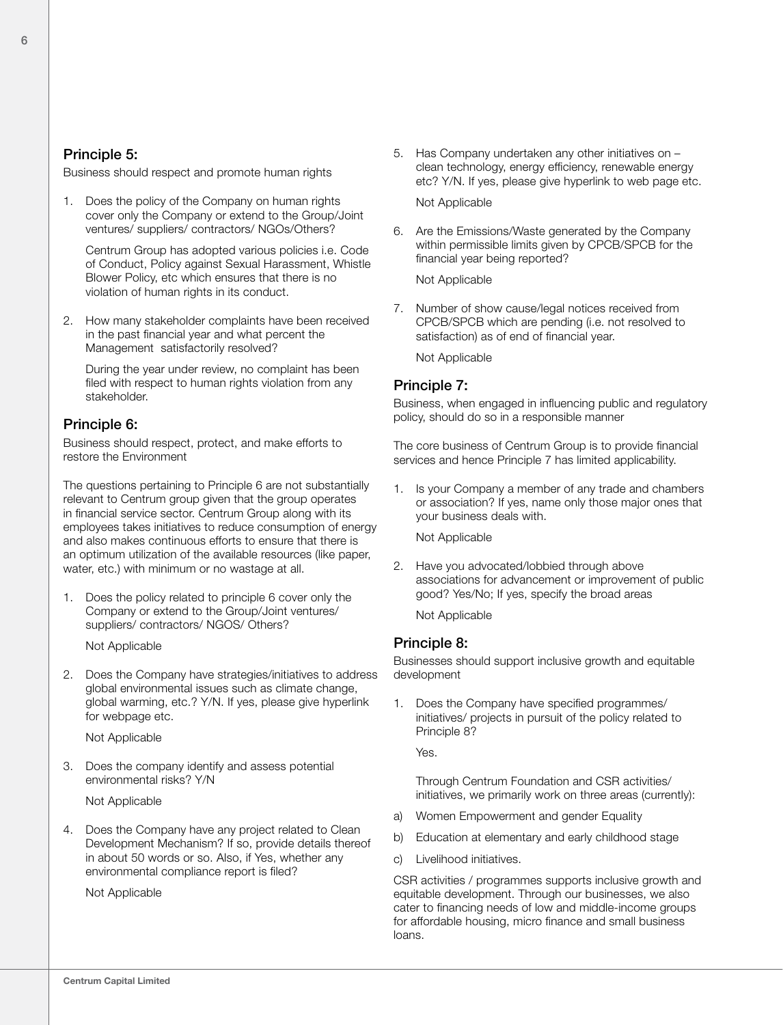#### Principle 5:

Business should respect and promote human rights

1. Does the policy of the Company on human rights cover only the Company or extend to the Group/Joint ventures/ suppliers/ contractors/ NGOs/Others?

Centrum Group has adopted various policies i.e. Code of Conduct, Policy against Sexual Harassment, Whistle Blower Policy, etc which ensures that there is no violation of human rights in its conduct.

2. How many stakeholder complaints have been received in the past financial year and what percent the Management satisfactorily resolved?

During the year under review, no complaint has been filed with respect to human rights violation from any stakeholder.

## Principle 6:

Business should respect, protect, and make efforts to restore the Environment

The questions pertaining to Principle 6 are not substantially relevant to Centrum group given that the group operates in financial service sector. Centrum Group along with its employees takes initiatives to reduce consumption of energy and also makes continuous efforts to ensure that there is an optimum utilization of the available resources (like paper, water, etc.) with minimum or no wastage at all.

1. Does the policy related to principle 6 cover only the Company or extend to the Group/Joint ventures/ suppliers/ contractors/ NGOS/ Others?

Not Applicable

2. Does the Company have strategies/initiatives to address global environmental issues such as climate change, global warming, etc.? Y/N. If yes, please give hyperlink for webpage etc.

Not Applicable

3. Does the company identify and assess potential environmental risks? Y/N

Not Applicable

4. Does the Company have any project related to Clean Development Mechanism? If so, provide details thereof in about 50 words or so. Also, if Yes, whether any environmental compliance report is filed?

Not Applicable

5. Has Company undertaken any other initiatives on – clean technology, energy efficiency, renewable energy etc? Y/N. If yes, please give hyperlink to web page etc.

Not Applicable

6. Are the Emissions/Waste generated by the Company within permissible limits given by CPCB/SPCB for the financial year being reported?

Not Applicable

7. Number of show cause/legal notices received from CPCB/SPCB which are pending (i.e. not resolved to satisfaction) as of end of financial year.

Not Applicable

#### Principle 7:

Business, when engaged in influencing public and regulatory policy, should do so in a responsible manner

The core business of Centrum Group is to provide financial services and hence Principle 7 has limited applicability.

1. Is your Company a member of any trade and chambers or association? If yes, name only those major ones that your business deals with.

Not Applicable

2. Have you advocated/lobbied through above associations for advancement or improvement of public good? Yes/No; If yes, specify the broad areas

Not Applicable

#### Principle 8:

Businesses should support inclusive growth and equitable development

1. Does the Company have specified programmes/ initiatives/ projects in pursuit of the policy related to Principle 8?

Yes.

Through Centrum Foundation and CSR activities/ initiatives, we primarily work on three areas (currently):

- a) Women Empowerment and gender Equality
- b) Education at elementary and early childhood stage
- c) Livelihood initiatives.

CSR activities / programmes supports inclusive growth and equitable development. Through our businesses, we also cater to financing needs of low and middle-income groups for affordable housing, micro finance and small business loans.